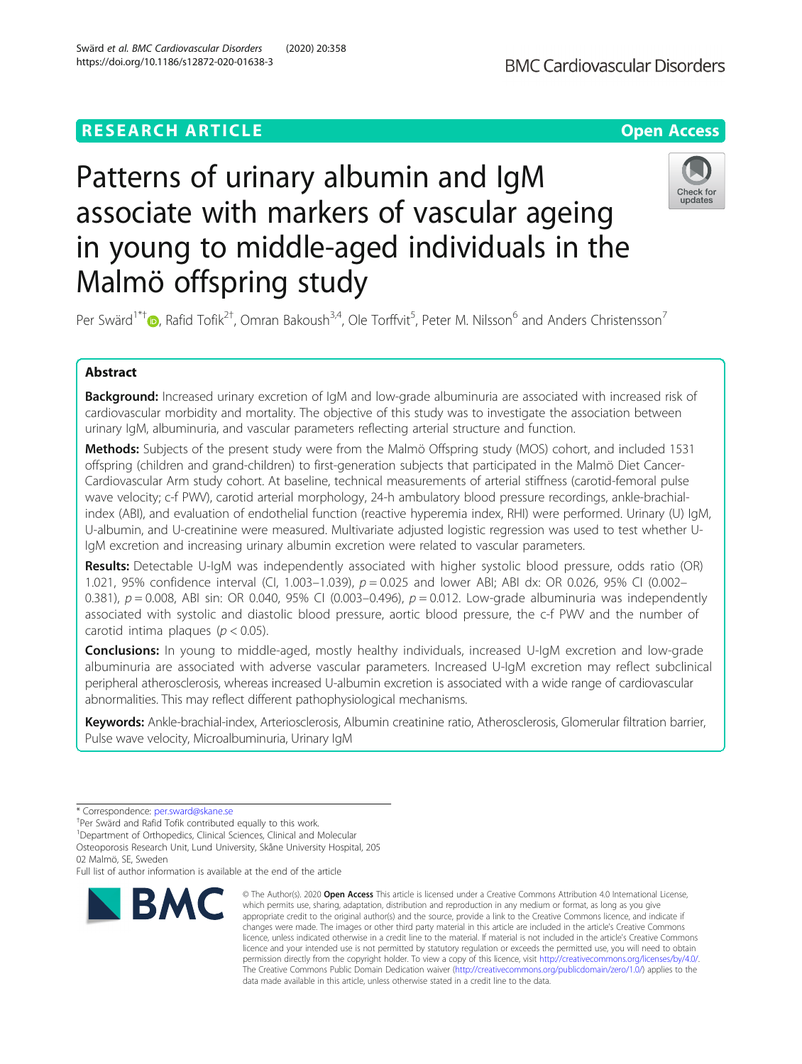## **RESEARCH ARTICLE Example 2014 12:30 The Contract of Contract ACCESS**



# Patterns of urinary albumin and IgM associate with markers of vascular ageing in young to middle-aged individuals in the Malmö offspring study



Per Swärd<sup>1\*[†](http://orcid.org/0000-0003-1857-7089)</sup> D, Rafid Tofik<sup>2†</sup>, Omran Bakoush<sup>3,4</sup>, Ole Torffvit<sup>5</sup>, Peter M. Nilsson<sup>6</sup> and Anders Christensson<sup>7</sup>

## Abstract

**Background:** Increased urinary excretion of IgM and low-grade albuminuria are associated with increased risk of cardiovascular morbidity and mortality. The objective of this study was to investigate the association between urinary IgM, albuminuria, and vascular parameters reflecting arterial structure and function.

Methods: Subjects of the present study were from the Malmö Offspring study (MOS) cohort, and included 1531 offspring (children and grand-children) to first-generation subjects that participated in the Malmö Diet Cancer-Cardiovascular Arm study cohort. At baseline, technical measurements of arterial stiffness (carotid-femoral pulse wave velocity; c-f PWV), carotid arterial morphology, 24-h ambulatory blood pressure recordings, ankle-brachialindex (ABI), and evaluation of endothelial function (reactive hyperemia index, RHI) were performed. Urinary (U) IgM, U-albumin, and U-creatinine were measured. Multivariate adjusted logistic regression was used to test whether U-IgM excretion and increasing urinary albumin excretion were related to vascular parameters.

Results: Detectable U-IgM was independently associated with higher systolic blood pressure, odds ratio (OR) 1.021, 95% confidence interval (CI, 1.003–1.039),  $p = 0.025$  and lower ABI; ABI dx: OR 0.026, 95% CI (0.002– 0.381),  $p = 0.008$ , ABI sin: OR 0.040, 95% CI (0.003–0.496),  $p = 0.012$ . Low-grade albuminuria was independently associated with systolic and diastolic blood pressure, aortic blood pressure, the c-f PWV and the number of carotid intima plaques ( $p < 0.05$ ).

**Conclusions:** In young to middle-aged, mostly healthy individuals, increased U-IgM excretion and low-grade albuminuria are associated with adverse vascular parameters. Increased U-IgM excretion may reflect subclinical peripheral atherosclerosis, whereas increased U-albumin excretion is associated with a wide range of cardiovascular abnormalities. This may reflect different pathophysiological mechanisms.

Keywords: Ankle-brachial-index, Arteriosclerosis, Albumin creatinine ratio, Atherosclerosis, Glomerular filtration barrier, Pulse wave velocity, Microalbuminuria, Urinary IgM

02 Malmö, SE, Sweden

Full list of author information is available at the end of the article



<sup>©</sup> The Author(s), 2020 **Open Access** This article is licensed under a Creative Commons Attribution 4.0 International License, which permits use, sharing, adaptation, distribution and reproduction in any medium or format, as long as you give appropriate credit to the original author(s) and the source, provide a link to the Creative Commons licence, and indicate if changes were made. The images or other third party material in this article are included in the article's Creative Commons licence, unless indicated otherwise in a credit line to the material. If material is not included in the article's Creative Commons licence and your intended use is not permitted by statutory regulation or exceeds the permitted use, you will need to obtain permission directly from the copyright holder. To view a copy of this licence, visit [http://creativecommons.org/licenses/by/4.0/.](http://creativecommons.org/licenses/by/4.0/) The Creative Commons Public Domain Dedication waiver [\(http://creativecommons.org/publicdomain/zero/1.0/](http://creativecommons.org/publicdomain/zero/1.0/)) applies to the data made available in this article, unless otherwise stated in a credit line to the data.

<sup>\*</sup> Correspondence: [per.sward@skane.se](mailto:per.sward@skane.se) †

<sup>&</sup>lt;sup>+</sup>Per Swärd and Rafid Tofik contributed equally to this work.

<sup>&</sup>lt;sup>1</sup>Department of Orthopedics, Clinical Sciences, Clinical and Molecular Osteoporosis Research Unit, Lund University, Skåne University Hospital, 205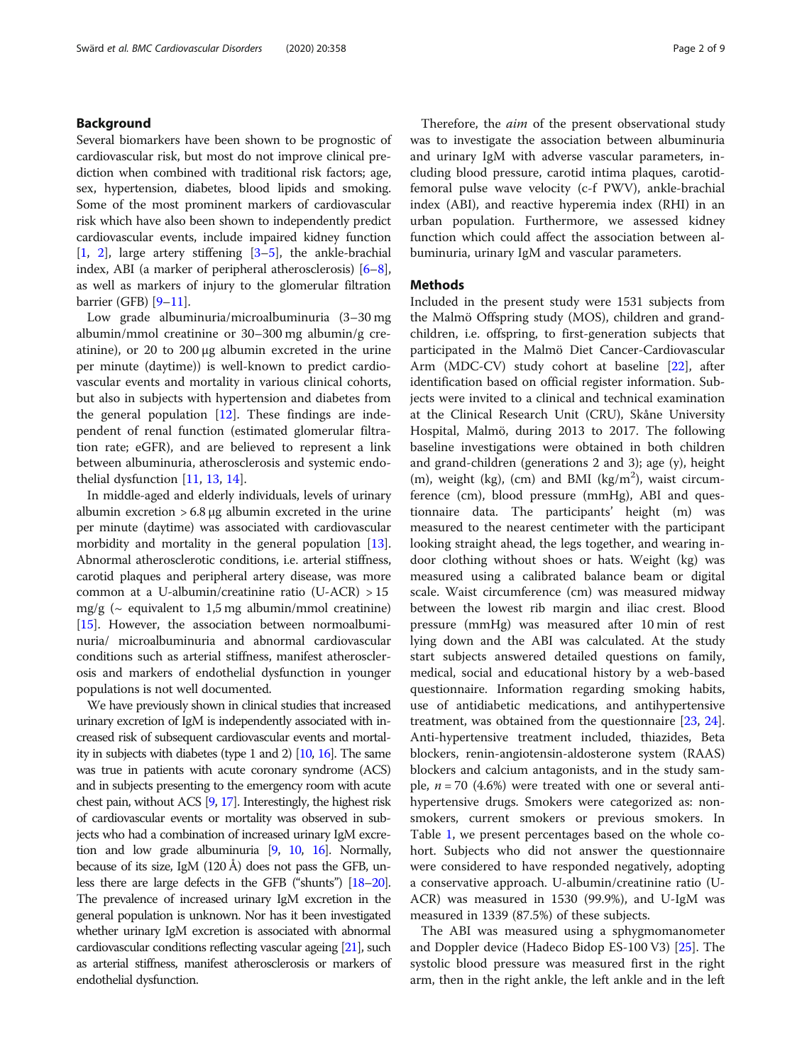## Background

Several biomarkers have been shown to be prognostic of cardiovascular risk, but most do not improve clinical prediction when combined with traditional risk factors; age, sex, hypertension, diabetes, blood lipids and smoking. Some of the most prominent markers of cardiovascular risk which have also been shown to independently predict cardiovascular events, include impaired kidney function [[1,](#page-7-0) [2](#page-7-0)], large artery stiffening [[3](#page-7-0)–[5](#page-7-0)], the ankle-brachial index, ABI (a marker of peripheral atherosclerosis) [[6](#page-7-0)–[8](#page-7-0)], as well as markers of injury to the glomerular filtration barrier (GFB) [\[9](#page-7-0)–[11](#page-7-0)].

Low grade albuminuria/microalbuminuria (3–30 mg albumin/mmol creatinine or 30–300 mg albumin/g creatinine), or 20 to 200 μg albumin excreted in the urine per minute (daytime)) is well-known to predict cardiovascular events and mortality in various clinical cohorts, but also in subjects with hypertension and diabetes from the general population  $[12]$  $[12]$ . These findings are independent of renal function (estimated glomerular filtration rate; eGFR), and are believed to represent a link between albuminuria, atherosclerosis and systemic endothelial dysfunction [\[11](#page-7-0), [13](#page-7-0), [14\]](#page-7-0).

In middle-aged and elderly individuals, levels of urinary albumin excretion  $> 6.8 \mu g$  albumin excreted in the urine per minute (daytime) was associated with cardiovascular morbidity and mortality in the general population [[13](#page-7-0)]. Abnormal atherosclerotic conditions, i.e. arterial stiffness, carotid plaques and peripheral artery disease, was more common at a U-albumin/creatinine ratio (U-ACR) > 15 mg/g ( $\sim$  equivalent to 1,5 mg albumin/mmol creatinine) [[15](#page-7-0)]. However, the association between normoalbuminuria/ microalbuminuria and abnormal cardiovascular conditions such as arterial stiffness, manifest atherosclerosis and markers of endothelial dysfunction in younger populations is not well documented.

We have previously shown in clinical studies that increased urinary excretion of IgM is independently associated with increased risk of subsequent cardiovascular events and mortality in subjects with diabetes (type 1 and 2) [\[10,](#page-7-0) [16](#page-7-0)]. The same was true in patients with acute coronary syndrome (ACS) and in subjects presenting to the emergency room with acute chest pain, without ACS [\[9,](#page-7-0) [17](#page-7-0)]. Interestingly, the highest risk of cardiovascular events or mortality was observed in subjects who had a combination of increased urinary IgM excretion and low grade albuminuria [\[9](#page-7-0), [10,](#page-7-0) [16](#page-7-0)]. Normally, because of its size, IgM (120 Å) does not pass the GFB, unless there are large defects in the GFB ("shunts") [\[18](#page-8-0)–[20\]](#page-8-0). The prevalence of increased urinary IgM excretion in the general population is unknown. Nor has it been investigated whether urinary IgM excretion is associated with abnormal cardiovascular conditions reflecting vascular ageing [\[21](#page-8-0)], such as arterial stiffness, manifest atherosclerosis or markers of endothelial dysfunction.

Therefore, the *aim* of the present observational study was to investigate the association between albuminuria and urinary IgM with adverse vascular parameters, including blood pressure, carotid intima plaques, carotidfemoral pulse wave velocity (c-f PWV), ankle-brachial index (ABI), and reactive hyperemia index (RHI) in an urban population. Furthermore, we assessed kidney function which could affect the association between albuminuria, urinary IgM and vascular parameters.

## **Methods**

Included in the present study were 1531 subjects from the Malmö Offspring study (MOS), children and grandchildren, i.e. offspring, to first-generation subjects that participated in the Malmö Diet Cancer-Cardiovascular Arm (MDC-CV) study cohort at baseline [[22\]](#page-8-0), after identification based on official register information. Subjects were invited to a clinical and technical examination at the Clinical Research Unit (CRU), Skåne University Hospital, Malmö, during 2013 to 2017. The following baseline investigations were obtained in both children and grand-children (generations 2 and 3); age (y), height (m), weight (kg), (cm) and BMI (kg/m<sup>2</sup>), waist circumference (cm), blood pressure (mmHg), ABI and questionnaire data. The participants' height (m) was measured to the nearest centimeter with the participant looking straight ahead, the legs together, and wearing indoor clothing without shoes or hats. Weight (kg) was measured using a calibrated balance beam or digital scale. Waist circumference (cm) was measured midway between the lowest rib margin and iliac crest. Blood pressure (mmHg) was measured after 10 min of rest lying down and the ABI was calculated. At the study start subjects answered detailed questions on family, medical, social and educational history by a web-based questionnaire. Information regarding smoking habits, use of antidiabetic medications, and antihypertensive treatment, was obtained from the questionnaire [\[23](#page-8-0), [24](#page-8-0)]. Anti-hypertensive treatment included, thiazides, Beta blockers, renin-angiotensin-aldosterone system (RAAS) blockers and calcium antagonists, and in the study sample,  $n = 70$  (4.6%) were treated with one or several antihypertensive drugs. Smokers were categorized as: nonsmokers, current smokers or previous smokers. In Table [1](#page-2-0), we present percentages based on the whole cohort. Subjects who did not answer the questionnaire were considered to have responded negatively, adopting a conservative approach. U-albumin/creatinine ratio (U-ACR) was measured in 1530 (99.9%), and U-IgM was measured in 1339 (87.5%) of these subjects.

The ABI was measured using a sphygmomanometer and Doppler device (Hadeco Bidop ES-100 V3) [\[25\]](#page-8-0). The systolic blood pressure was measured first in the right arm, then in the right ankle, the left ankle and in the left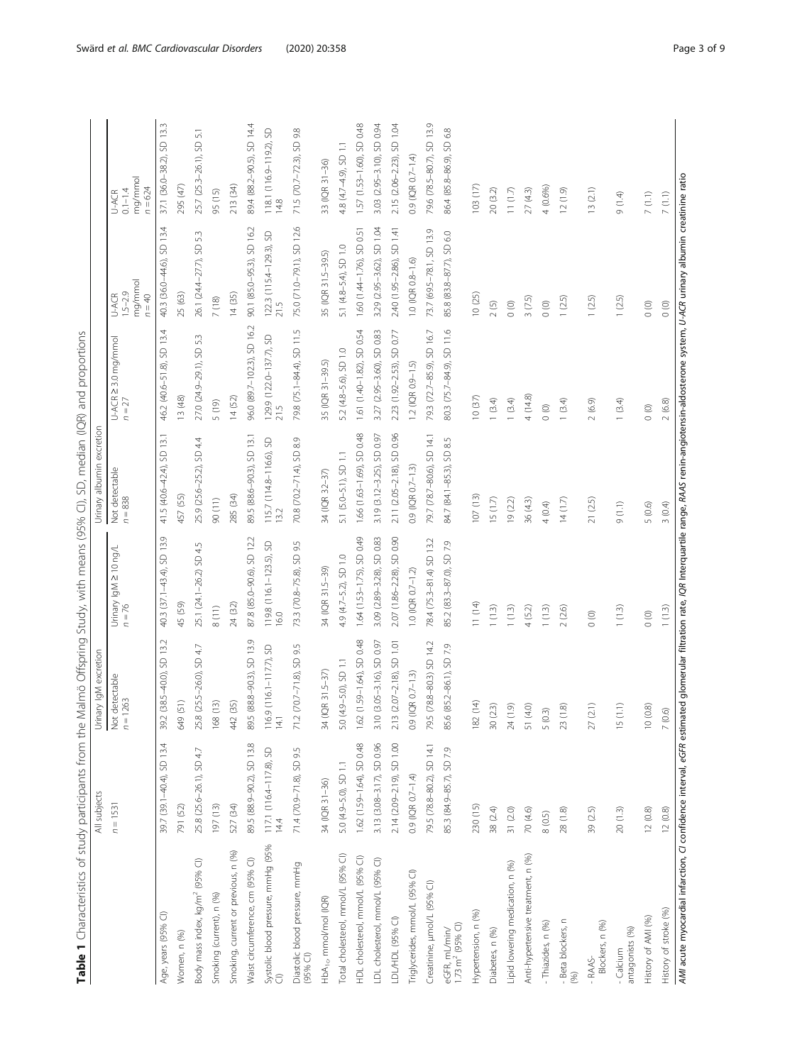| ļ<br>ł                                                    |  |
|-----------------------------------------------------------|--|
| I<br>I<br>ł                                               |  |
| l                                                         |  |
| I                                                         |  |
| ١<br>ï<br>٢<br>!                                          |  |
| $\frac{1}{1}$<br>١                                        |  |
| I                                                         |  |
| $\tilde{\zeta}$                                           |  |
| I<br>ī<br>J<br>ł<br>İ<br>Ş                                |  |
| I                                                         |  |
| i<br>i<br>l                                               |  |
| ì<br>Ì<br>ļ<br>ĺ<br>ļ<br>١                                |  |
| j<br>C<br>ï                                               |  |
| $\overline{\phantom{a}}$<br>$\overline{\phantom{a}}$<br>ī |  |
| I                                                         |  |
| !<br>l                                                    |  |
| ١<br>í<br>١                                               |  |
|                                                           |  |
| i                                                         |  |
| ֚֬֕<br>۱                                                  |  |
| i                                                         |  |
| ١<br>j<br>į<br>Ï                                          |  |
| ţ<br>ł<br>l<br>Ì                                          |  |
|                                                           |  |
| ahla<br>i<br>I                                            |  |

<span id="page-2-0"></span>

| 285 (34)<br>457 (55)<br>107(13)<br>$n = 838$<br>15(1.7)<br>19(2.2)<br>36 (4.3)<br>90 (11)<br>13.2<br>40.3 (37.1-43.4), SD 13.9<br>1.64 (1.53-1.75), SD 0.49<br>SD 0.90<br>87.8 (85.0-90.6), SD 12.2<br>3.09 (2.89-3.28), SD 0.83<br>78.4 (75.3-81.4) SD 13.2<br>85.2 (83.3-87.0), SD 7.9<br>SD 9.5<br>119.8 (116.1–123.5), SD<br>16.0<br>25.1 (24.1-26.2) SD 4.5<br>Urinary IgM ≥ 10 ng/L<br>4.9 (4.7-5.2), SD 1.0<br>2.07 (1.86-2.28),<br>73.3 (70.8-75.8),<br>34 (IQR 31.5-39)<br>$1.0(1QR 0.7 - 1.2)$<br>11(14)<br>45 (59)<br>24 (32)<br>$n = 76$<br>1(1.3)<br>1(1.3)<br>4(5.2)<br>8(11)<br>$(38.5 - 40.0)$ , SD 13.2<br>89.5 (88.8-90.3), SD 13.9<br>1.62 (1.59-1.64), SD 0.48<br>3.10 (3.05-3.16), SD 0.97<br>2.13 (2.07-2.18), SD 1.01<br>79.5 (78.8-80.3) SD 14.2<br>71.2 (70.7-71.8), SD 9.5<br>85.6 (85.2-86.1), SD 7.9<br>25.8 (25.5-26.0), SD 4.7<br>$(116.1 - 117.7), SD$<br>$9 - 5.0$ , SD 1.1<br>34 (IQR 31.5-37)<br>$0.9$ (IQR $0.7-1.3$ )<br>Not detectable<br>263<br>649(51)<br>168(13)<br>442 (35)<br>182 (14)<br>30(2.3)<br>24(1.9)<br>51 (4.0)<br>$n = 12$<br>116.9<br>5.0 (4.<br>39.2<br>14.1<br>1.62 (1.59-1.64), SD 0.48<br>2.14 (2.09-2.19), SD 1.00<br>39.7 (39.1-40.4), SD 13.4<br>89.5 (88.9-90.2), SD 13.8<br>3.13 (3.08-3.17), SD 0.96<br>79.5 (78.8-80.2), SD 14.1<br>71.4 (70.9-71.8), SD 9.5<br>85.3 (84.9-85.7), SD 7.9<br>25.8 (25.6-26.1), SD 4.7<br>117.1 (116.4–117.8), SD<br>14.4<br>5.0 (4.9-5.0), SD 1.1<br>0.9 (IQR 0.7-1.4)<br>34 (IQR 31-36)<br>$n = 1531$<br>527 (34)<br>791 (52)<br>197 (13)<br>230 (15)<br>38 (2.4)<br>31(2.0)<br>70 (4.6)<br>Systolic blood pressure, mmHg (95%<br>Cl)<br>Smoking, current or previous, n (%)<br>Total cholesterol, mmol/L (95% CI)<br>Anti-hypertensive treatment, n (%)<br>HDL cholesterol, mmol/L (95% CI)<br>LDL cholesterol, mmol/L (95% CI)<br>Body mass index, kg/m <sup>2</sup> (95% CI)<br>Waist circumference, cm (95% Cl)<br>Lipid lowering medication, n (%)<br>Diastolic blood pressure, mmHg<br>(95% Cl)<br>Triglycerides, mmol/L (95% CI)<br>Creatinine, µmol/L (95% Cl)<br>Smoking (current), n (%)<br>HbA <sub>1c</sub> , mmol/mol (IQR)<br>Hypertension, n (%)<br>Age, years (95% CI)<br>LDL/HDL (95% CI)<br>eGFR, mL/min/<br>1.73 m <sup>2</sup> (95% Cl)<br>Diabetes, n (%)<br>Women, n (%) | 41.5 (40.6-42.4), SD 13.1<br>25.9 (25.6-25.2), SD 4.4<br>Not detectable | SD 13.4<br>U-ACR ≥ 3.0 mg/mmol<br>46.2 (40.6-51.8),<br>13 (48)<br>$n = 27$ | 13.4<br>40.3 (36.0-44.6), SD<br>mg/mmol<br>$1.5 - 2.9$<br>U-ACR<br>$n = 40$ | mg/mmol<br>$n = 624$<br>$0.1 - 1.4$<br>U-ACR    |
|------------------------------------------------------------------------------------------------------------------------------------------------------------------------------------------------------------------------------------------------------------------------------------------------------------------------------------------------------------------------------------------------------------------------------------------------------------------------------------------------------------------------------------------------------------------------------------------------------------------------------------------------------------------------------------------------------------------------------------------------------------------------------------------------------------------------------------------------------------------------------------------------------------------------------------------------------------------------------------------------------------------------------------------------------------------------------------------------------------------------------------------------------------------------------------------------------------------------------------------------------------------------------------------------------------------------------------------------------------------------------------------------------------------------------------------------------------------------------------------------------------------------------------------------------------------------------------------------------------------------------------------------------------------------------------------------------------------------------------------------------------------------------------------------------------------------------------------------------------------------------------------------------------------------------------------------------------------------------------------------------------------------------------------------------------------------------------------------------------------------------------------------------------------------------------------------------------------------------------------------------------------------------------------------|-------------------------------------------------------------------------|----------------------------------------------------------------------------|-----------------------------------------------------------------------------|-------------------------------------------------|
|                                                                                                                                                                                                                                                                                                                                                                                                                                                                                                                                                                                                                                                                                                                                                                                                                                                                                                                                                                                                                                                                                                                                                                                                                                                                                                                                                                                                                                                                                                                                                                                                                                                                                                                                                                                                                                                                                                                                                                                                                                                                                                                                                                                                                                                                                                |                                                                         |                                                                            |                                                                             |                                                 |
|                                                                                                                                                                                                                                                                                                                                                                                                                                                                                                                                                                                                                                                                                                                                                                                                                                                                                                                                                                                                                                                                                                                                                                                                                                                                                                                                                                                                                                                                                                                                                                                                                                                                                                                                                                                                                                                                                                                                                                                                                                                                                                                                                                                                                                                                                                |                                                                         |                                                                            |                                                                             | SD 13.3<br>37.1 (36.0-38.2),                    |
|                                                                                                                                                                                                                                                                                                                                                                                                                                                                                                                                                                                                                                                                                                                                                                                                                                                                                                                                                                                                                                                                                                                                                                                                                                                                                                                                                                                                                                                                                                                                                                                                                                                                                                                                                                                                                                                                                                                                                                                                                                                                                                                                                                                                                                                                                                |                                                                         |                                                                            | 25 (63)                                                                     | 295 (47)                                        |
|                                                                                                                                                                                                                                                                                                                                                                                                                                                                                                                                                                                                                                                                                                                                                                                                                                                                                                                                                                                                                                                                                                                                                                                                                                                                                                                                                                                                                                                                                                                                                                                                                                                                                                                                                                                                                                                                                                                                                                                                                                                                                                                                                                                                                                                                                                |                                                                         | 53<br>27.0 (24.9-29.1), SD                                                 | 53<br>26.1 (24.4-27.7), SD                                                  | $\overline{\mathbf{5}}$<br>25.7 (25.3-26.1), SD |
|                                                                                                                                                                                                                                                                                                                                                                                                                                                                                                                                                                                                                                                                                                                                                                                                                                                                                                                                                                                                                                                                                                                                                                                                                                                                                                                                                                                                                                                                                                                                                                                                                                                                                                                                                                                                                                                                                                                                                                                                                                                                                                                                                                                                                                                                                                |                                                                         | 5(19)                                                                      | 7(18)                                                                       | 95 (15)                                         |
|                                                                                                                                                                                                                                                                                                                                                                                                                                                                                                                                                                                                                                                                                                                                                                                                                                                                                                                                                                                                                                                                                                                                                                                                                                                                                                                                                                                                                                                                                                                                                                                                                                                                                                                                                                                                                                                                                                                                                                                                                                                                                                                                                                                                                                                                                                |                                                                         | 14(52)                                                                     | 14(35)                                                                      | 213 (34)                                        |
|                                                                                                                                                                                                                                                                                                                                                                                                                                                                                                                                                                                                                                                                                                                                                                                                                                                                                                                                                                                                                                                                                                                                                                                                                                                                                                                                                                                                                                                                                                                                                                                                                                                                                                                                                                                                                                                                                                                                                                                                                                                                                                                                                                                                                                                                                                | 89.5 (88.6-90.3), SD 13.1                                               | 96.0 (89.7-102.3), SD 16.2                                                 | 90.1 (85.0-95.3), SD 16.2                                                   | 89.4 (88.2-90.5), SD 14.4                       |
|                                                                                                                                                                                                                                                                                                                                                                                                                                                                                                                                                                                                                                                                                                                                                                                                                                                                                                                                                                                                                                                                                                                                                                                                                                                                                                                                                                                                                                                                                                                                                                                                                                                                                                                                                                                                                                                                                                                                                                                                                                                                                                                                                                                                                                                                                                | S<br>115.7 (114.8-116.6),                                               | 129.9 (122.0-137.7), SD<br>21.5                                            | 122.3 (115.4–129.3), SD<br>21.5                                             | 118.1 (116.9–119.2), SD<br>14.8                 |
|                                                                                                                                                                                                                                                                                                                                                                                                                                                                                                                                                                                                                                                                                                                                                                                                                                                                                                                                                                                                                                                                                                                                                                                                                                                                                                                                                                                                                                                                                                                                                                                                                                                                                                                                                                                                                                                                                                                                                                                                                                                                                                                                                                                                                                                                                                | $8.9$<br>70.8 (70.2-71.4), SD                                           | 79.8 (75.1-84.4), SD 11.5                                                  | 75.0 (71.0-79.1), SD 12.6                                                   | SD 9.8<br>71.5 (70.7-72.3),                     |
|                                                                                                                                                                                                                                                                                                                                                                                                                                                                                                                                                                                                                                                                                                                                                                                                                                                                                                                                                                                                                                                                                                                                                                                                                                                                                                                                                                                                                                                                                                                                                                                                                                                                                                                                                                                                                                                                                                                                                                                                                                                                                                                                                                                                                                                                                                | 34 (IQR 32-37)                                                          | 35 (IQR 31-39.5)                                                           | 35 (IQR 31.5-39.5)                                                          | 33 (IQR 31-36)                                  |
|                                                                                                                                                                                                                                                                                                                                                                                                                                                                                                                                                                                                                                                                                                                                                                                                                                                                                                                                                                                                                                                                                                                                                                                                                                                                                                                                                                                                                                                                                                                                                                                                                                                                                                                                                                                                                                                                                                                                                                                                                                                                                                                                                                                                                                                                                                | 5.1 (5.0-5.1), SD 1.1                                                   | 5.2 (4.8-5.6), SD 1.0                                                      | 5.1 (4.8-5.4), SD 1.0                                                       | 4.8 (4.7-4.9), SD 1.1                           |
|                                                                                                                                                                                                                                                                                                                                                                                                                                                                                                                                                                                                                                                                                                                                                                                                                                                                                                                                                                                                                                                                                                                                                                                                                                                                                                                                                                                                                                                                                                                                                                                                                                                                                                                                                                                                                                                                                                                                                                                                                                                                                                                                                                                                                                                                                                | 1.66 (1.63-1.69), SD 0.48                                               | 1.61 (1.40-1.82), SD 0.54                                                  | 1.60 (1.44-1.76), SD 0.51                                                   | SD 0.48<br>1.57 (1.53-1.60),                    |
|                                                                                                                                                                                                                                                                                                                                                                                                                                                                                                                                                                                                                                                                                                                                                                                                                                                                                                                                                                                                                                                                                                                                                                                                                                                                                                                                                                                                                                                                                                                                                                                                                                                                                                                                                                                                                                                                                                                                                                                                                                                                                                                                                                                                                                                                                                | 3.19 (3.12-3.25), SD 0.97                                               | 3.27 (2.95-3.60), SD 0.83                                                  | 3.29 (2.95-3.62), SD 1.04                                                   | 3.03 (2.95-3.10), SD 0.94                       |
|                                                                                                                                                                                                                                                                                                                                                                                                                                                                                                                                                                                                                                                                                                                                                                                                                                                                                                                                                                                                                                                                                                                                                                                                                                                                                                                                                                                                                                                                                                                                                                                                                                                                                                                                                                                                                                                                                                                                                                                                                                                                                                                                                                                                                                                                                                | 2.11 (2.05-2.18), SD 0.96                                               | 2.23 (1.92-2.53), SD 0.77                                                  | 2.40 (1.95-2.86), SD 1.41                                                   | 2.15 (2.06-2.23), SD 1.04                       |
|                                                                                                                                                                                                                                                                                                                                                                                                                                                                                                                                                                                                                                                                                                                                                                                                                                                                                                                                                                                                                                                                                                                                                                                                                                                                                                                                                                                                                                                                                                                                                                                                                                                                                                                                                                                                                                                                                                                                                                                                                                                                                                                                                                                                                                                                                                | $0.9$ (IQR $0.7 - 1.3$ )                                                | 1.2 (IQR 0.9-1.5)                                                          | 1.0 (IQR 0.8-1.6)                                                           | 0.9 (IQR 0.7-1.4)                               |
|                                                                                                                                                                                                                                                                                                                                                                                                                                                                                                                                                                                                                                                                                                                                                                                                                                                                                                                                                                                                                                                                                                                                                                                                                                                                                                                                                                                                                                                                                                                                                                                                                                                                                                                                                                                                                                                                                                                                                                                                                                                                                                                                                                                                                                                                                                | 79.7 (78.7-80.6), SD 14.1                                               | 79.3 (72.7-85.9), SD 16.7                                                  | 73.7 (69.5-78.1, SD 13.9                                                    | 79.6 (78.5-80.7), SD 13.9                       |
|                                                                                                                                                                                                                                                                                                                                                                                                                                                                                                                                                                                                                                                                                                                                                                                                                                                                                                                                                                                                                                                                                                                                                                                                                                                                                                                                                                                                                                                                                                                                                                                                                                                                                                                                                                                                                                                                                                                                                                                                                                                                                                                                                                                                                                                                                                | 84.7 (84.1-85.3), SD 8.5                                                | 80.3 (75.7-84.9), SD 11.6                                                  | 85.8 (83.8-87.7), SD 6.0                                                    | SD 6.8<br>86.4 (85.8-86.9),                     |
|                                                                                                                                                                                                                                                                                                                                                                                                                                                                                                                                                                                                                                                                                                                                                                                                                                                                                                                                                                                                                                                                                                                                                                                                                                                                                                                                                                                                                                                                                                                                                                                                                                                                                                                                                                                                                                                                                                                                                                                                                                                                                                                                                                                                                                                                                                |                                                                         | 10(37)                                                                     | 10 (25)                                                                     | 103 (17)                                        |
|                                                                                                                                                                                                                                                                                                                                                                                                                                                                                                                                                                                                                                                                                                                                                                                                                                                                                                                                                                                                                                                                                                                                                                                                                                                                                                                                                                                                                                                                                                                                                                                                                                                                                                                                                                                                                                                                                                                                                                                                                                                                                                                                                                                                                                                                                                |                                                                         | 1(3.4)                                                                     | 2(5)                                                                        | 20(3.2)                                         |
|                                                                                                                                                                                                                                                                                                                                                                                                                                                                                                                                                                                                                                                                                                                                                                                                                                                                                                                                                                                                                                                                                                                                                                                                                                                                                                                                                                                                                                                                                                                                                                                                                                                                                                                                                                                                                                                                                                                                                                                                                                                                                                                                                                                                                                                                                                |                                                                         | 1(3.4)                                                                     | $\circ$                                                                     | $11(1.7)$                                       |
|                                                                                                                                                                                                                                                                                                                                                                                                                                                                                                                                                                                                                                                                                                                                                                                                                                                                                                                                                                                                                                                                                                                                                                                                                                                                                                                                                                                                                                                                                                                                                                                                                                                                                                                                                                                                                                                                                                                                                                                                                                                                                                                                                                                                                                                                                                |                                                                         | 4(14.8)                                                                    | 3(7.5)                                                                      | 27(4.3)                                         |
| 4(0.4)<br>1(1.3)<br>5(0.3)<br>$8(0.5)$<br>- Thiazides, n (%)                                                                                                                                                                                                                                                                                                                                                                                                                                                                                                                                                                                                                                                                                                                                                                                                                                                                                                                                                                                                                                                                                                                                                                                                                                                                                                                                                                                                                                                                                                                                                                                                                                                                                                                                                                                                                                                                                                                                                                                                                                                                                                                                                                                                                                   |                                                                         | $\circ$                                                                    | $\circ$                                                                     | 4 (0.6%)                                        |
| 14 $(1.7)$<br>2(2.6)<br>23(1.8)<br>28(1.8)<br>- Beta blockers, n<br>(%)                                                                                                                                                                                                                                                                                                                                                                                                                                                                                                                                                                                                                                                                                                                                                                                                                                                                                                                                                                                                                                                                                                                                                                                                                                                                                                                                                                                                                                                                                                                                                                                                                                                                                                                                                                                                                                                                                                                                                                                                                                                                                                                                                                                                                        |                                                                         | 1(3.4)                                                                     | 1(2.5)                                                                      | 12(1.9)                                         |
| 21(2.5)<br>$\circ$<br>27(2.1)<br>39 (2.5)<br>Blockers, n (%)<br>-RAAS-                                                                                                                                                                                                                                                                                                                                                                                                                                                                                                                                                                                                                                                                                                                                                                                                                                                                                                                                                                                                                                                                                                                                                                                                                                                                                                                                                                                                                                                                                                                                                                                                                                                                                                                                                                                                                                                                                                                                                                                                                                                                                                                                                                                                                         |                                                                         | 2(6.9)                                                                     | 1(2.5)                                                                      | 13(2.1)                                         |
| (1.1)<br>1(1.3)<br>15(1.1)<br>20(1.3)<br>antagonists (%)<br>- Calcium                                                                                                                                                                                                                                                                                                                                                                                                                                                                                                                                                                                                                                                                                                                                                                                                                                                                                                                                                                                                                                                                                                                                                                                                                                                                                                                                                                                                                                                                                                                                                                                                                                                                                                                                                                                                                                                                                                                                                                                                                                                                                                                                                                                                                          |                                                                         | 1 (3.4)                                                                    | 1(2.5)                                                                      | 9(1.4)                                          |
| 5(0.6)<br>$\circ$<br>10(0.8)<br>12(0.8)<br>History of AMI (%)                                                                                                                                                                                                                                                                                                                                                                                                                                                                                                                                                                                                                                                                                                                                                                                                                                                                                                                                                                                                                                                                                                                                                                                                                                                                                                                                                                                                                                                                                                                                                                                                                                                                                                                                                                                                                                                                                                                                                                                                                                                                                                                                                                                                                                  |                                                                         | $\circ$                                                                    | $\circ$                                                                     | $7(0.1)$                                        |
| 3(0.4)<br>1(1.3)<br>7(0.6)<br>12(0.8)<br>History of stroke (%)                                                                                                                                                                                                                                                                                                                                                                                                                                                                                                                                                                                                                                                                                                                                                                                                                                                                                                                                                                                                                                                                                                                                                                                                                                                                                                                                                                                                                                                                                                                                                                                                                                                                                                                                                                                                                                                                                                                                                                                                                                                                                                                                                                                                                                 |                                                                         | 2(6.8)                                                                     | $_{0}$ $\,$                                                                 | $7(0.1)$                                        |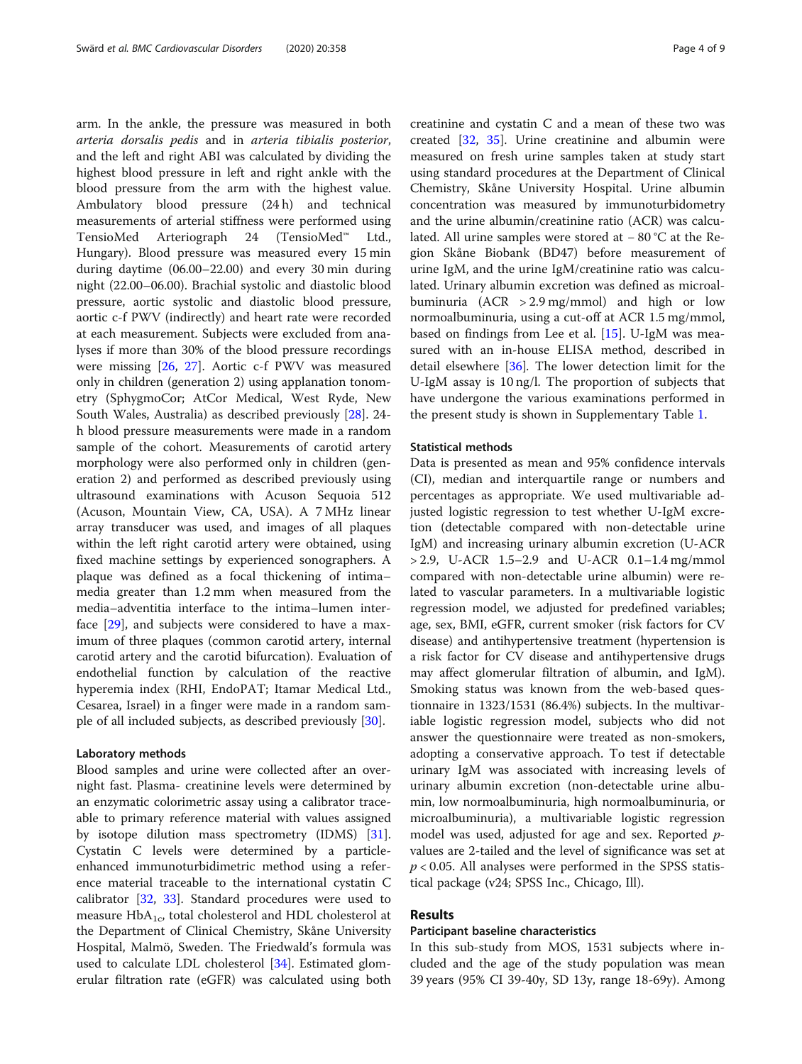arm. In the ankle, the pressure was measured in both arteria dorsalis pedis and in arteria tibialis posterior, and the left and right ABI was calculated by dividing the highest blood pressure in left and right ankle with the blood pressure from the arm with the highest value. Ambulatory blood pressure (24 h) and technical measurements of arterial stiffness were performed using TensioMed Arteriograph 24 (TensioMed™ Ltd., Hungary). Blood pressure was measured every 15 min during daytime (06.00–22.00) and every 30 min during night (22.00–06.00). Brachial systolic and diastolic blood pressure, aortic systolic and diastolic blood pressure, aortic c-f PWV (indirectly) and heart rate were recorded at each measurement. Subjects were excluded from analyses if more than 30% of the blood pressure recordings were missing [\[26,](#page-8-0) [27\]](#page-8-0). Aortic c-f PWV was measured only in children (generation 2) using applanation tonometry (SphygmoCor; AtCor Medical, West Ryde, New South Wales, Australia) as described previously [[28\]](#page-8-0). 24 h blood pressure measurements were made in a random sample of the cohort. Measurements of carotid artery morphology were also performed only in children (generation 2) and performed as described previously using ultrasound examinations with Acuson Sequoia 512 (Acuson, Mountain View, CA, USA). A 7 MHz linear array transducer was used, and images of all plaques within the left right carotid artery were obtained, using fixed machine settings by experienced sonographers. A plaque was defined as a focal thickening of intima– media greater than 1.2 mm when measured from the media–adventitia interface to the intima–lumen interface [[29\]](#page-8-0), and subjects were considered to have a maximum of three plaques (common carotid artery, internal carotid artery and the carotid bifurcation). Evaluation of endothelial function by calculation of the reactive hyperemia index (RHI, EndoPAT; Itamar Medical Ltd., Cesarea, Israel) in a finger were made in a random sample of all included subjects, as described previously [\[30\]](#page-8-0).

## Laboratory methods

Blood samples and urine were collected after an overnight fast. Plasma- creatinine levels were determined by an enzymatic colorimetric assay using a calibrator traceable to primary reference material with values assigned by isotope dilution mass spectrometry (IDMS) [\[31](#page-8-0)]. Cystatin C levels were determined by a particleenhanced immunoturbidimetric method using a reference material traceable to the international cystatin C calibrator [\[32,](#page-8-0) [33](#page-8-0)]. Standard procedures were used to measure  $HbA_{1c}$ , total cholesterol and HDL cholesterol at the Department of Clinical Chemistry, Skåne University Hospital, Malmö, Sweden. The Friedwald's formula was used to calculate LDL cholesterol [[34](#page-8-0)]. Estimated glomerular filtration rate (eGFR) was calculated using both creatinine and cystatin C and a mean of these two was created [[32](#page-8-0), [35](#page-8-0)]. Urine creatinine and albumin were measured on fresh urine samples taken at study start using standard procedures at the Department of Clinical Chemistry, Skåne University Hospital. Urine albumin concentration was measured by immunoturbidometry and the urine albumin/creatinine ratio (ACR) was calculated. All urine samples were stored at − 80 °C at the Region Skåne Biobank (BD47) before measurement of urine IgM, and the urine IgM/creatinine ratio was calculated. Urinary albumin excretion was defined as microalbuminuria  $(ACR > 2.9 \text{ mg/mmol})$  and high or low normoalbuminuria, using a cut-off at ACR 1.5 mg/mmol, based on findings from Lee et al. [\[15](#page-7-0)]. U-IgM was measured with an in-house ELISA method, described in detail elsewhere [\[36](#page-8-0)]. The lower detection limit for the U-IgM assay is 10 ng/l. The proportion of subjects that have undergone the various examinations performed in the present study is shown in Supplementary Table [1](#page-7-0).

## Statistical methods

Data is presented as mean and 95% confidence intervals (CI), median and interquartile range or numbers and percentages as appropriate. We used multivariable adjusted logistic regression to test whether U-IgM excretion (detectable compared with non-detectable urine IgM) and increasing urinary albumin excretion (U-ACR > 2.9, U-ACR 1.5–2.9 and U-ACR 0.1–1.4 mg/mmol compared with non-detectable urine albumin) were related to vascular parameters. In a multivariable logistic regression model, we adjusted for predefined variables; age, sex, BMI, eGFR, current smoker (risk factors for CV disease) and antihypertensive treatment (hypertension is a risk factor for CV disease and antihypertensive drugs may affect glomerular filtration of albumin, and IgM). Smoking status was known from the web-based questionnaire in 1323/1531 (86.4%) subjects. In the multivariable logistic regression model, subjects who did not answer the questionnaire were treated as non-smokers, adopting a conservative approach. To test if detectable urinary IgM was associated with increasing levels of urinary albumin excretion (non-detectable urine albumin, low normoalbuminuria, high normoalbuminuria, or microalbuminuria), a multivariable logistic regression model was used, adjusted for age and sex. Reported pvalues are 2-tailed and the level of significance was set at  $p < 0.05$ . All analyses were performed in the SPSS statistical package (v24; SPSS Inc., Chicago, Ill).

## Results

#### Participant baseline characteristics

In this sub-study from MOS, 1531 subjects where included and the age of the study population was mean 39 years (95% CI 39-40y, SD 13y, range 18-69y). Among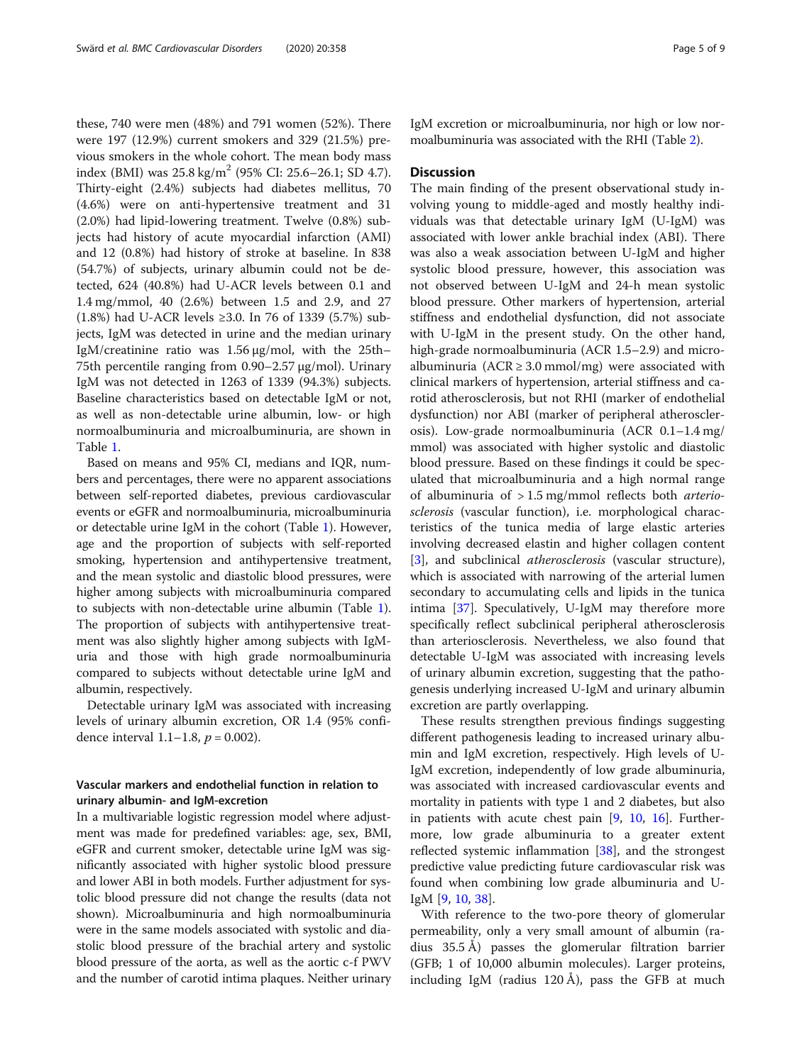these, 740 were men (48%) and 791 women (52%). There were 197 (12.9%) current smokers and 329 (21.5%) previous smokers in the whole cohort. The mean body mass index (BMI) was  $25.8 \text{ kg/m}^2$  (95% CI: 25.6–26.1; SD 4.7). Thirty-eight (2.4%) subjects had diabetes mellitus, 70 (4.6%) were on anti-hypertensive treatment and 31 (2.0%) had lipid-lowering treatment. Twelve (0.8%) subjects had history of acute myocardial infarction (AMI) and 12 (0.8%) had history of stroke at baseline. In 838 (54.7%) of subjects, urinary albumin could not be detected, 624 (40.8%) had U-ACR levels between 0.1 and 1.4 mg/mmol, 40 (2.6%) between 1.5 and 2.9, and 27 (1.8%) had U-ACR levels ≥3.0. In 76 of 1339 (5.7%) subjects, IgM was detected in urine and the median urinary IgM/creatinine ratio was 1.56 μg/mol, with the 25th– 75th percentile ranging from 0.90–2.57 μg/mol). Urinary IgM was not detected in 1263 of 1339 (94.3%) subjects. Baseline characteristics based on detectable IgM or not, as well as non-detectable urine albumin, low- or high normoalbuminuria and microalbuminuria, are shown in Table [1.](#page-2-0)

Based on means and 95% CI, medians and IQR, numbers and percentages, there were no apparent associations between self-reported diabetes, previous cardiovascular events or eGFR and normoalbuminuria, microalbuminuria or detectable urine IgM in the cohort (Table [1](#page-2-0)). However, age and the proportion of subjects with self-reported smoking, hypertension and antihypertensive treatment, and the mean systolic and diastolic blood pressures, were higher among subjects with microalbuminuria compared to subjects with non-detectable urine albumin (Table [1](#page-2-0)). The proportion of subjects with antihypertensive treatment was also slightly higher among subjects with IgMuria and those with high grade normoalbuminuria compared to subjects without detectable urine IgM and albumin, respectively.

Detectable urinary IgM was associated with increasing levels of urinary albumin excretion, OR 1.4 (95% confidence interval  $1.1-1.8$ ,  $p = 0.002$ ).

## Vascular markers and endothelial function in relation to urinary albumin- and IgM-excretion

In a multivariable logistic regression model where adjustment was made for predefined variables: age, sex, BMI, eGFR and current smoker, detectable urine IgM was significantly associated with higher systolic blood pressure and lower ABI in both models. Further adjustment for systolic blood pressure did not change the results (data not shown). Microalbuminuria and high normoalbuminuria were in the same models associated with systolic and diastolic blood pressure of the brachial artery and systolic blood pressure of the aorta, as well as the aortic c-f PWV and the number of carotid intima plaques. Neither urinary

IgM excretion or microalbuminuria, nor high or low normoalbuminuria was associated with the RHI (Table [2](#page-5-0)).

## **Discussion**

The main finding of the present observational study involving young to middle-aged and mostly healthy individuals was that detectable urinary IgM (U-IgM) was associated with lower ankle brachial index (ABI). There was also a weak association between U-IgM and higher systolic blood pressure, however, this association was not observed between U-IgM and 24-h mean systolic blood pressure. Other markers of hypertension, arterial stiffness and endothelial dysfunction, did not associate with U-IgM in the present study. On the other hand, high-grade normoalbuminuria (ACR 1.5–2.9) and microalbuminuria ( $ACR \geq 3.0$  mmol/mg) were associated with clinical markers of hypertension, arterial stiffness and carotid atherosclerosis, but not RHI (marker of endothelial dysfunction) nor ABI (marker of peripheral atherosclerosis). Low-grade normoalbuminuria (ACR 0.1–1.4 mg/ mmol) was associated with higher systolic and diastolic blood pressure. Based on these findings it could be speculated that microalbuminuria and a high normal range of albuminuria of  $> 1.5$  mg/mmol reflects both *arterio*sclerosis (vascular function), i.e. morphological characteristics of the tunica media of large elastic arteries involving decreased elastin and higher collagen content [[3\]](#page-7-0), and subclinical *atherosclerosis* (vascular structure), which is associated with narrowing of the arterial lumen secondary to accumulating cells and lipids in the tunica intima [\[37](#page-8-0)]. Speculatively, U-IgM may therefore more specifically reflect subclinical peripheral atherosclerosis than arteriosclerosis. Nevertheless, we also found that detectable U-IgM was associated with increasing levels of urinary albumin excretion, suggesting that the pathogenesis underlying increased U-IgM and urinary albumin excretion are partly overlapping.

These results strengthen previous findings suggesting different pathogenesis leading to increased urinary albumin and IgM excretion, respectively. High levels of U-IgM excretion, independently of low grade albuminuria, was associated with increased cardiovascular events and mortality in patients with type 1 and 2 diabetes, but also in patients with acute chest pain  $[9, 10, 16]$  $[9, 10, 16]$  $[9, 10, 16]$  $[9, 10, 16]$  $[9, 10, 16]$  $[9, 10, 16]$  $[9, 10, 16]$ . Furthermore, low grade albuminuria to a greater extent reflected systemic inflammation [\[38](#page-8-0)], and the strongest predictive value predicting future cardiovascular risk was found when combining low grade albuminuria and U-IgM [[9,](#page-7-0) [10,](#page-7-0) [38\]](#page-8-0).

With reference to the two-pore theory of glomerular permeability, only a very small amount of albumin (radius 35.5 Å) passes the glomerular filtration barrier (GFB; 1 of 10,000 albumin molecules). Larger proteins, including IgM (radius 120 Å), pass the GFB at much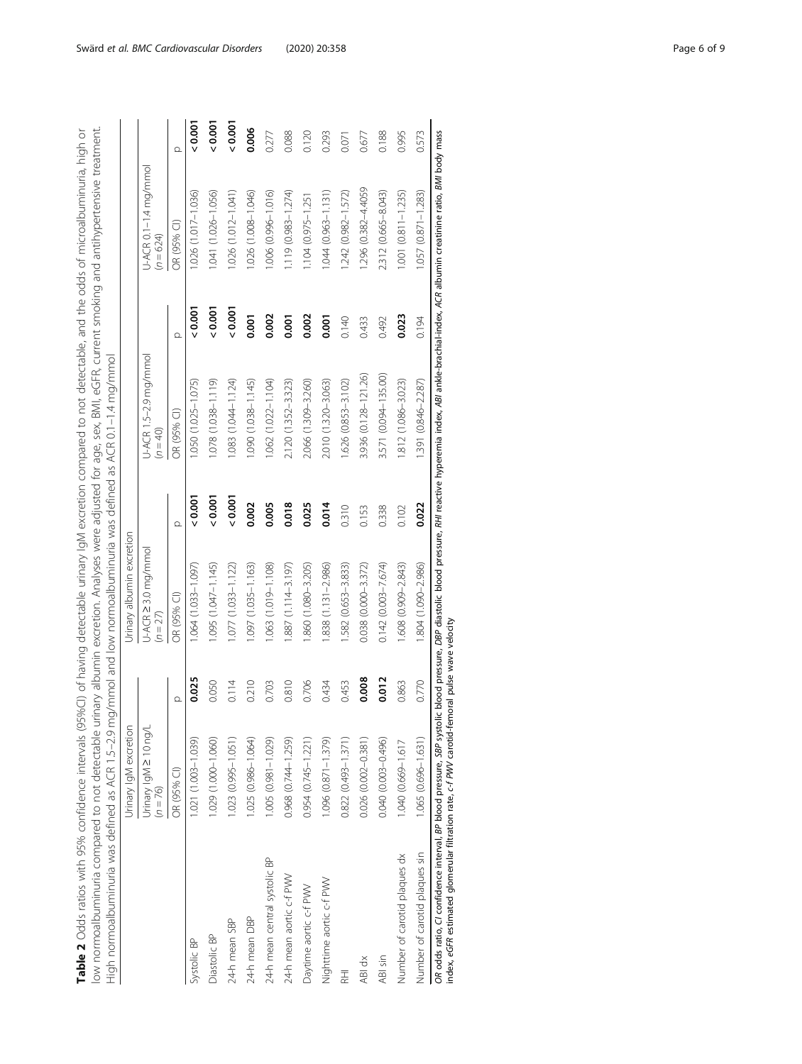<span id="page-5-0"></span>

| ה<br>מכול<br>95%CI) of having detectable urinary lgM excretion compared to not detectable, and the odds of microalbuminuri | urinary albumin excretion. Analyses were adjusted for age, sex, BMI, eGFR, current smoking and antihypertensive treatmer |                                                                                                                              |
|----------------------------------------------------------------------------------------------------------------------------|--------------------------------------------------------------------------------------------------------------------------|------------------------------------------------------------------------------------------------------------------------------|
| ih 95% confidence int<br><b>Table 2</b> Odds ratios wit                                                                    | iction to 2 c+ to instruction is interesting<br>2)<br>2)<br>2)<br>2)                                                     | ma/mmol and low normoalbuminuria was defined as ACR 0.1-1.4 ma/mmol<br>$215-7$<br>ormoalbuminuria was defined as ACR<br>こくらこ |

|                                                                                                                                                                                                                          | Urinary IgM excretion               |       | Urinary albumin excretion       |                  |                                     |          |                                      |                  |
|--------------------------------------------------------------------------------------------------------------------------------------------------------------------------------------------------------------------------|-------------------------------------|-------|---------------------------------|------------------|-------------------------------------|----------|--------------------------------------|------------------|
|                                                                                                                                                                                                                          | Urinary IgM 2 10 ng/L<br>$(n = 76)$ |       | U-ACR 2 3.0 mg/mmol<br>$(n=27)$ |                  | U-ACR 1.5-2.9 mg/mmol<br>$(n = 40)$ |          | U-ACR 0.1-1.4 mg/mmol<br>$(n = 624)$ |                  |
|                                                                                                                                                                                                                          | OR (95% CI)                         | Ω     | OR (95% CI)                     |                  | OR (95% CI)                         | $\Omega$ | OR (95% CI)                          |                  |
| Systolic BP                                                                                                                                                                                                              | 1.021 (1.003-1.039)                 | 0.025 | $1.064$ (1.033-1.097)           | $\frac{5}{3}$    | 1.050 (1.025-1.075)                 | 0.001    | 1.026 (1.017-1.036)                  | $\frac{1000}{5}$ |
| Diastolic BP                                                                                                                                                                                                             | 1.029 (1.000-1.060)                 | 0.050 | $(0.095)$ $(1.047 - 1.145)$     | 0.001            | 1.078 (1.038-1.119)                 | 0.001    | 1.041 (1.026-1.056)                  | 0.001            |
| 24-h mean SBP                                                                                                                                                                                                            | 1.023 (0.995-1.051)                 | 0.114 | 1.077 (1.033-1.122)             | $\frac{2000}{5}$ | $1.083(1.044 - 1.124)$              | 0.001    | 1.026 (1.012-1.041)                  | $\frac{2000}{5}$ |
| 24-h mean DBP                                                                                                                                                                                                            | 1.025 (0.986-1.064)                 | 0.210 | 1.097 (1.035-1.163)             | 0.002            | 1.090 (1.038-1.145)                 | 0.001    | 1.026 (1.008-1.046)                  | 0.006            |
| 24-h mean central systolic BP                                                                                                                                                                                            | 1.005 (0.981-1.029)                 | 0.703 | $1.063(1.019 - 1.108)$          | 0.005            | 1.062 (1.022-1.104)                 | 0.002    | 1.006 (0.996-1.016)                  | 0.277            |
| 24-h mean aortic c-f PWV                                                                                                                                                                                                 | 0.968 (0.744-1.259)                 | 0.810 | .887 (1.114-3.197)              | 0.018            | 2.120 (1.352-3.323)                 | 0.001    | $1.119(0.983 - 1.274)$               | 0.088            |
| Daytime aortic c-f PWV                                                                                                                                                                                                   | 0.954 (0.745-1.221)                 | 0.706 | .860 (1.080-3.205)              | 0.025            | 2.066 (1.309-3.260)                 | 0.002    | $1.104(0.975 - 1.251)$               | 0.120            |
| Nighttime aortic c-f PWV                                                                                                                                                                                                 | 1.096 (0.871-1.379)                 | 0.434 | 838 (1.131-2.986)               | 0.014            | 2.010 (1.320-3.063)                 | 0.001    | $1.044(0.963 - 1.131)$               | 0.293            |
| 군<br>조                                                                                                                                                                                                                   | 0.822 (0.493-1.371)                 | 0.453 | .582 (0.653-3.833)              | 0.310            | 1.626 (0.853-3.102)                 | 0.140    | 1.242 (0.982-1.572)                  | 0.071            |
| ABI dx                                                                                                                                                                                                                   | 0.026 (0.002-0.381)                 | 0.008 | $0.038(0.000 - 3.372)$          | 0.153            | 3.936 (0.128-121.26)                | 0.433    | 1.296 (0.382-4.4059                  | 0.677            |
| ABI sin                                                                                                                                                                                                                  | 0.040 (0.003-0.496)                 | 0.012 | $0.142(0.003 - 7.674)$          | 0.338            | 3.571 (0.094-135.00)                | 0.492    | 2.312 (0.665-8.043)                  | 0.188            |
| Number of carotid plaques dx                                                                                                                                                                                             | 1.040 (0.669-1.617                  | 0.863 | 1.608 (0.909-2.843)             | 0.102            | 1.812 (1.086-3.023)                 | 0.023    | $1.001$ $(0.811 - 1.235)$            | 0.995            |
| Number of carotid plaques sin                                                                                                                                                                                            | 1.065 (0.696-1.631)                 | 0.770 | 1.804 (1.090-2.986)             | 0.022            | 1.391 (0.846-2.287)                 | 0.194    | $1.057(0.871 - 1.283)$               | 0.573            |
| OR odds ratio, CI confidence interval, BP blood pressure, SBP systolic blood pressure, DBP diastolic blood pressure, RHI reactive hyperemia index, ABI ankle-brachial-index, ACR albumin creatinine ratio, BMI body mass |                                     |       |                                 |                  |                                     |          |                                      |                  |

index, eGFR estimated glomerular filtration rate, c-f PWV carotid-femoral pulse wave velocity index, eGFR estimated glomerular filtration rate, c-f PWV carotid-femoral pulse wave velocity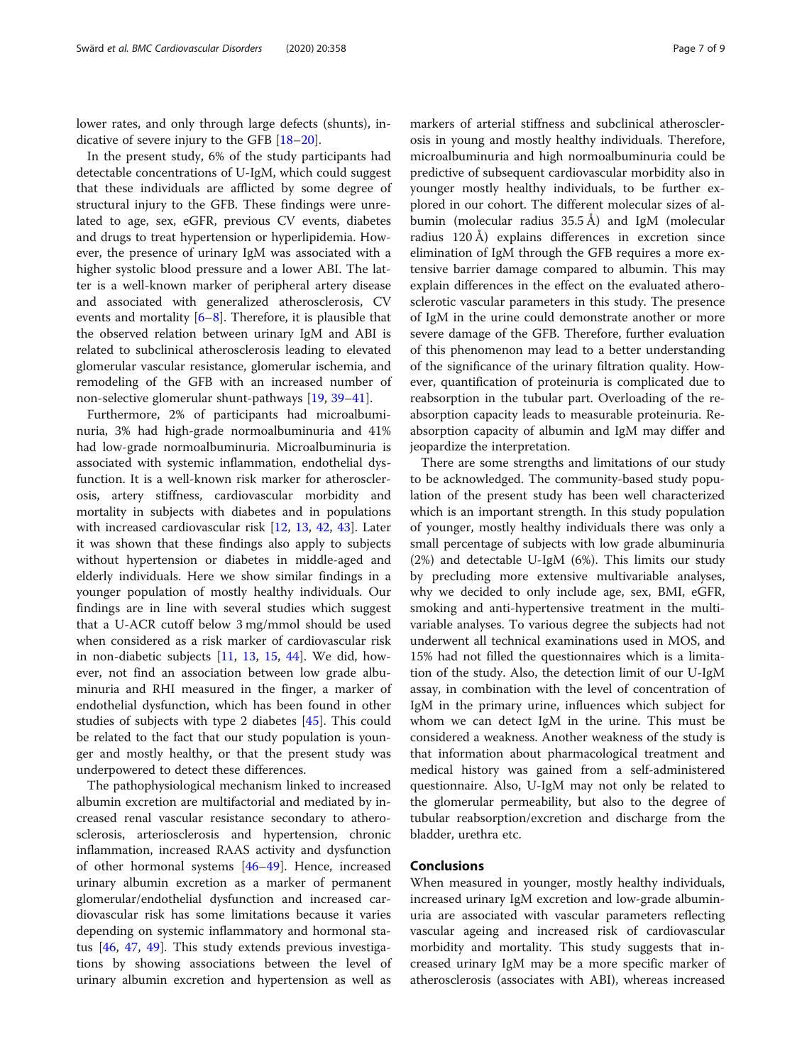lower rates, and only through large defects (shunts), indicative of severe injury to the GFB [[18](#page-8-0)–[20\]](#page-8-0).

In the present study, 6% of the study participants had detectable concentrations of U-IgM, which could suggest that these individuals are afflicted by some degree of structural injury to the GFB. These findings were unrelated to age, sex, eGFR, previous CV events, diabetes and drugs to treat hypertension or hyperlipidemia. However, the presence of urinary IgM was associated with a higher systolic blood pressure and a lower ABI. The latter is a well-known marker of peripheral artery disease and associated with generalized atherosclerosis, CV events and mortality [\[6](#page-7-0)–[8\]](#page-7-0). Therefore, it is plausible that the observed relation between urinary IgM and ABI is related to subclinical atherosclerosis leading to elevated glomerular vascular resistance, glomerular ischemia, and remodeling of the GFB with an increased number of non-selective glomerular shunt-pathways [\[19,](#page-8-0) [39](#page-8-0)–[41\]](#page-8-0).

Furthermore, 2% of participants had microalbuminuria, 3% had high-grade normoalbuminuria and 41% had low-grade normoalbuminuria. Microalbuminuria is associated with systemic inflammation, endothelial dysfunction. It is a well-known risk marker for atherosclerosis, artery stiffness, cardiovascular morbidity and mortality in subjects with diabetes and in populations with increased cardiovascular risk [[12,](#page-7-0) [13](#page-7-0), [42,](#page-8-0) [43](#page-8-0)]. Later it was shown that these findings also apply to subjects without hypertension or diabetes in middle-aged and elderly individuals. Here we show similar findings in a younger population of mostly healthy individuals. Our findings are in line with several studies which suggest that a U-ACR cutoff below 3 mg/mmol should be used when considered as a risk marker of cardiovascular risk in non-diabetic subjects  $[11, 13, 15, 44]$  $[11, 13, 15, 44]$  $[11, 13, 15, 44]$  $[11, 13, 15, 44]$  $[11, 13, 15, 44]$  $[11, 13, 15, 44]$  $[11, 13, 15, 44]$  $[11, 13, 15, 44]$ . We did, however, not find an association between low grade albuminuria and RHI measured in the finger, a marker of endothelial dysfunction, which has been found in other studies of subjects with type 2 diabetes [\[45](#page-8-0)]. This could be related to the fact that our study population is younger and mostly healthy, or that the present study was underpowered to detect these differences.

The pathophysiological mechanism linked to increased albumin excretion are multifactorial and mediated by increased renal vascular resistance secondary to atherosclerosis, arteriosclerosis and hypertension, chronic inflammation, increased RAAS activity and dysfunction of other hormonal systems [\[46](#page-8-0)–[49\]](#page-8-0). Hence, increased urinary albumin excretion as a marker of permanent glomerular/endothelial dysfunction and increased cardiovascular risk has some limitations because it varies depending on systemic inflammatory and hormonal status [\[46](#page-8-0), [47,](#page-8-0) [49\]](#page-8-0). This study extends previous investigations by showing associations between the level of urinary albumin excretion and hypertension as well as

markers of arterial stiffness and subclinical atherosclerosis in young and mostly healthy individuals. Therefore, microalbuminuria and high normoalbuminuria could be predictive of subsequent cardiovascular morbidity also in younger mostly healthy individuals, to be further explored in our cohort. The different molecular sizes of albumin (molecular radius 35.5 Å) and IgM (molecular radius 120 Å) explains differences in excretion since elimination of IgM through the GFB requires a more extensive barrier damage compared to albumin. This may explain differences in the effect on the evaluated atherosclerotic vascular parameters in this study. The presence of IgM in the urine could demonstrate another or more severe damage of the GFB. Therefore, further evaluation of this phenomenon may lead to a better understanding of the significance of the urinary filtration quality. However, quantification of proteinuria is complicated due to reabsorption in the tubular part. Overloading of the reabsorption capacity leads to measurable proteinuria. Reabsorption capacity of albumin and IgM may differ and jeopardize the interpretation.

There are some strengths and limitations of our study to be acknowledged. The community-based study population of the present study has been well characterized which is an important strength. In this study population of younger, mostly healthy individuals there was only a small percentage of subjects with low grade albuminuria (2%) and detectable U-IgM (6%). This limits our study by precluding more extensive multivariable analyses, why we decided to only include age, sex, BMI, eGFR, smoking and anti-hypertensive treatment in the multivariable analyses. To various degree the subjects had not underwent all technical examinations used in MOS, and 15% had not filled the questionnaires which is a limitation of the study. Also, the detection limit of our U-IgM assay, in combination with the level of concentration of IgM in the primary urine, influences which subject for whom we can detect IgM in the urine. This must be considered a weakness. Another weakness of the study is that information about pharmacological treatment and medical history was gained from a self-administered questionnaire. Also, U-IgM may not only be related to the glomerular permeability, but also to the degree of tubular reabsorption/excretion and discharge from the bladder, urethra etc.

## Conclusions

When measured in younger, mostly healthy individuals, increased urinary IgM excretion and low-grade albuminuria are associated with vascular parameters reflecting vascular ageing and increased risk of cardiovascular morbidity and mortality. This study suggests that increased urinary IgM may be a more specific marker of atherosclerosis (associates with ABI), whereas increased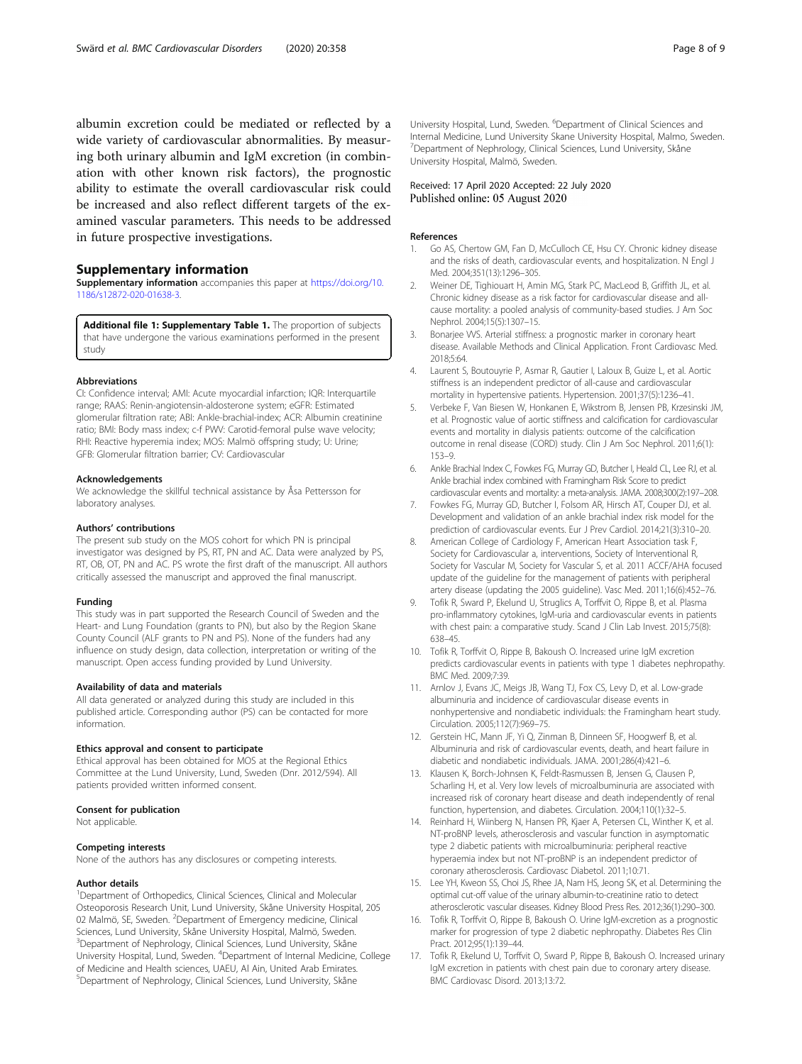<span id="page-7-0"></span>albumin excretion could be mediated or reflected by a wide variety of cardiovascular abnormalities. By measuring both urinary albumin and IgM excretion (in combination with other known risk factors), the prognostic ability to estimate the overall cardiovascular risk could be increased and also reflect different targets of the examined vascular parameters. This needs to be addressed in future prospective investigations.

## Supplementary information

Supplementary information accompanies this paper at [https://doi.org/10.](https://doi.org/10.1186/s12872-020-01638-3) [1186/s12872-020-01638-3](https://doi.org/10.1186/s12872-020-01638-3).

Additional file 1: Supplementary Table 1. The proportion of subjects that have undergone the various examinations performed in the present study

#### Abbreviations

CI: Confidence interval; AMI: Acute myocardial infarction; IQR: Interquartile range; RAAS: Renin-angiotensin-aldosterone system; eGFR: Estimated glomerular filtration rate; ABI: Ankle-brachial-index; ACR: Albumin creatinine ratio; BMI: Body mass index; c-f PWV: Carotid-femoral pulse wave velocity; RHI: Reactive hyperemia index; MOS: Malmö offspring study; U: Urine; GFB: Glomerular filtration barrier; CV: Cardiovascular

#### Acknowledgements

We acknowledge the skillful technical assistance by Åsa Pettersson for laboratory analyses.

#### Authors' contributions

The present sub study on the MOS cohort for which PN is principal investigator was designed by PS, RT, PN and AC. Data were analyzed by PS, RT, OB, OT, PN and AC. PS wrote the first draft of the manuscript. All authors critically assessed the manuscript and approved the final manuscript.

#### Funding

This study was in part supported the Research Council of Sweden and the Heart- and Lung Foundation (grants to PN), but also by the Region Skane County Council (ALF grants to PN and PS). None of the funders had any influence on study design, data collection, interpretation or writing of the manuscript. Open access funding provided by Lund University.

## Availability of data and materials

All data generated or analyzed during this study are included in this published article. Corresponding author (PS) can be contacted for more information.

## Ethics approval and consent to participate

Ethical approval has been obtained for MOS at the Regional Ethics Committee at the Lund University, Lund, Sweden (Dnr. 2012/594). All patients provided written informed consent.

#### Consent for publication

Not applicable.

#### Competing interests

None of the authors has any disclosures or competing interests.

#### Author details

<sup>1</sup>Department of Orthopedics, Clinical Sciences, Clinical and Molecular Osteoporosis Research Unit, Lund University, Skåne University Hospital, 205 02 Malmö, SE, Sweden. <sup>2</sup>Department of Emergency medicine, Clinical Sciences, Lund University, Skåne University Hospital, Malmö, Sweden. 3 Department of Nephrology, Clinical Sciences, Lund University, Skåne University Hospital, Lund, Sweden. <sup>4</sup>Department of Internal Medicine, College of Medicine and Health sciences, UAEU, Al Ain, United Arab Emirates. 5 Department of Nephrology, Clinical Sciences, Lund University, Skåne

University Hospital, Lund, Sweden. <sup>6</sup>Department of Clinical Sciences and Internal Medicine, Lund University Skane University Hospital, Malmo, Sweden. <sup>7</sup>Department of Nephrology, Clinical Sciences, Lund University, Skåne University Hospital, Malmö, Sweden.

## Received: 17 April 2020 Accepted: 22 July 2020 Published online: 05 August 2020

#### References

- 1. Go AS, Chertow GM, Fan D, McCulloch CE, Hsu CY. Chronic kidney disease and the risks of death, cardiovascular events, and hospitalization. N Engl J Med. 2004;351(13):1296–305.
- 2. Weiner DE, Tighiouart H, Amin MG, Stark PC, MacLeod B, Griffith JL, et al. Chronic kidney disease as a risk factor for cardiovascular disease and allcause mortality: a pooled analysis of community-based studies. J Am Soc Nephrol. 2004;15(5):1307–15.
- 3. Bonarjee VVS. Arterial stiffness: a prognostic marker in coronary heart disease. Available Methods and Clinical Application. Front Cardiovasc Med. 2018;5:64.
- 4. Laurent S, Boutouyrie P, Asmar R, Gautier I, Laloux B, Guize L, et al. Aortic stiffness is an independent predictor of all-cause and cardiovascular mortality in hypertensive patients. Hypertension. 2001;37(5):1236–41.
- 5. Verbeke F, Van Biesen W, Honkanen E, Wikstrom B, Jensen PB, Krzesinski JM, et al. Prognostic value of aortic stiffness and calcification for cardiovascular events and mortality in dialysis patients: outcome of the calcification outcome in renal disease (CORD) study. Clin J Am Soc Nephrol. 2011;6(1): 153–9.
- 6. Ankle Brachial Index C, Fowkes FG, Murray GD, Butcher I, Heald CL, Lee RJ, et al. Ankle brachial index combined with Framingham Risk Score to predict cardiovascular events and mortality: a meta-analysis. JAMA. 2008;300(2):197–208.
- 7. Fowkes FG, Murray GD, Butcher I, Folsom AR, Hirsch AT, Couper DJ, et al. Development and validation of an ankle brachial index risk model for the prediction of cardiovascular events. Eur J Prev Cardiol. 2014;21(3):310–20.
- 8. American College of Cardiology F, American Heart Association task F, Society for Cardiovascular a, interventions, Society of Interventional R, Society for Vascular M, Society for Vascular S, et al. 2011 ACCF/AHA focused update of the guideline for the management of patients with peripheral artery disease (updating the 2005 guideline). Vasc Med. 2011;16(6):452–76.
- Tofik R, Sward P, Ekelund U, Struglics A, Torffvit O, Rippe B, et al. Plasma pro-inflammatory cytokines, IgM-uria and cardiovascular events in patients with chest pain: a comparative study. Scand J Clin Lab Invest. 2015;75(8): 638–45.
- 10. Tofik R, Torffvit O, Rippe B, Bakoush O. Increased urine IgM excretion predicts cardiovascular events in patients with type 1 diabetes nephropathy. BMC Med. 2009;7:39.
- 11. Arnlov J, Evans JC, Meigs JB, Wang TJ, Fox CS, Levy D, et al. Low-grade albuminuria and incidence of cardiovascular disease events in nonhypertensive and nondiabetic individuals: the Framingham heart study. Circulation. 2005;112(7):969–75.
- 12. Gerstein HC, Mann JF, Yi Q, Zinman B, Dinneen SF, Hoogwerf B, et al. Albuminuria and risk of cardiovascular events, death, and heart failure in diabetic and nondiabetic individuals. JAMA. 2001;286(4):421–6.
- 13. Klausen K, Borch-Johnsen K, Feldt-Rasmussen B, Jensen G, Clausen P, Scharling H, et al. Very low levels of microalbuminuria are associated with increased risk of coronary heart disease and death independently of renal function, hypertension, and diabetes. Circulation. 2004;110(1):32–5.
- 14. Reinhard H, Wiinberg N, Hansen PR, Kjaer A, Petersen CL, Winther K, et al. NT-proBNP levels, atherosclerosis and vascular function in asymptomatic type 2 diabetic patients with microalbuminuria: peripheral reactive hyperaemia index but not NT-proBNP is an independent predictor of coronary atherosclerosis. Cardiovasc Diabetol. 2011;10:71.
- 15. Lee YH, Kweon SS, Choi JS, Rhee JA, Nam HS, Jeong SK, et al. Determining the optimal cut-off value of the urinary albumin-to-creatinine ratio to detect atherosclerotic vascular diseases. Kidney Blood Press Res. 2012;36(1):290–300.
- 16. Tofik R, Torffvit O, Rippe B, Bakoush O. Urine IgM-excretion as a prognostic marker for progression of type 2 diabetic nephropathy. Diabetes Res Clin Pract. 2012;95(1):139–44.
- 17. Tofik R, Ekelund U, Torffvit O, Sward P, Rippe B, Bakoush O. Increased urinary IgM excretion in patients with chest pain due to coronary artery disease. BMC Cardiovasc Disord. 2013;13:72.